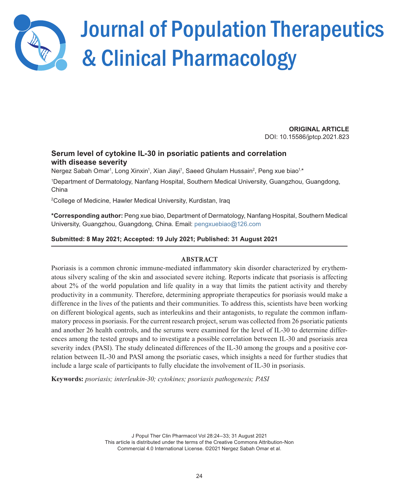

# Journal of Population Therapeutics & Clinical Pharmacology

**ORIGINAL ARTICLE** DOI: 10.15586/jptcp.2021.823

## **Serum level of cytokine IL-30 in psoriatic patients and correlation with disease severity**

Nergez Sabah Omar<sup>1</sup>, Long Xinxin<sup>1</sup>, Xian Jiayi<sup>1</sup>, Saeed Ghulam Hussain<sup>2</sup>, Peng xue biao<sup>1,\*</sup>

1 Department of Dermatology, Nanfang Hospital, Southern Medical University, Guangzhou, Guangdong, China

2 College of Medicine, Hawler Medical University, Kurdistan, Iraq

**\*Corresponding author:** Peng xue biao, Department of Dermatology, Nanfang Hospital, Southern Medical University, Guangzhou, Guangdong, China. Email: [pengxuebiao@126.com](mailto:pengxuebiao@126.com)

## **Submitted: 8 May 2021; Accepted: 19 July 2021; Published: 31 August 2021**

### **ABSTRACT**

Psoriasis is a common chronic immune-mediated inflammatory skin disorder characterized by erythematous silvery scaling of the skin and associated severe itching. Reports indicate that psoriasis is affecting about 2% of the world population and life quality in a way that limits the patient activity and thereby productivity in a community. Therefore, determining appropriate therapeutics for psoriasis would make a difference in the lives of the patients and their communities. To address this, scientists have been working on different biological agents, such as interleukins and their antagonists, to regulate the common inflammatory process in psoriasis. For the current research project, serum was collected from 26 psoriatic patients and another 26 health controls, and the serums were examined for the level of IL-30 to determine differences among the tested groups and to investigate a possible correlation between IL-30 and psoriasis area severity index (PASI). The study delineated differences of the IL-30 among the groups and a positive correlation between IL-30 and PASI among the psoriatic cases, which insights a need for further studies that include a large scale of participants to fully elucidate the involvement of IL-30 in psoriasis.

**Keywords:** *psoriasis; interleukin-30; cytokines; psoriasis pathogenesis; PASI*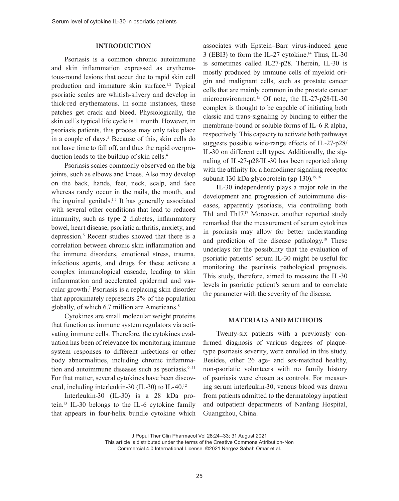#### **INTRODUCTION**

Psoriasis is a common chronic autoimmune and skin inflammation expressed as erythematous-round lesions that occur due to rapid skin cell production and immature skin surface.1,2 Typical psoriatic scales are whitish-silvery and develop in thick-red erythematous. In some instances, these patches get crack and bleed. Physiologically, the skin cell's typical life cycle is 1 month. However, in psoriasis patients, this process may only take place in a couple of days.3 Because of this, skin cells do not have time to fall off, and thus the rapid overproduction leads to the buildup of skin cells.<sup>4</sup>

Psoriasis scales commonly observed on the big joints, such as elbows and knees. Also may develop on the back, hands, feet, neck, scalp, and face whereas rarely occur in the nails, the mouth, and the inguinal genitals.<sup>1,5</sup> It has generally associated with several other conditions that lead to reduced immunity, such as type 2 diabetes, inflammatory bowel, heart disease, psoriatic arthritis, anxiety, and depression.6 Recent studies showed that there is a correlation between chronic skin inflammation and the immune disorders, emotional stress, trauma, infectious agents, and drugs for these activate a complex immunological cascade, leading to skin inflammation and accelerated epidermal and vascular growth.7 Psoriasis is a replacing skin disorder that approximately represents 2% of the population globally, of which 6.7 million are Americans.<sup>8</sup>

Cytokines are small molecular weight proteins that function as immune system regulators via activating immune cells. Therefore, the cytokines evaluation has been of relevance for monitoring immune system responses to different infections or other body abnormalities, including chronic inflammation and autoimmune diseases such as psoriasis. $9-11$ For that matter, several cytokines have been discovered, including interleukin-30 (IL-30) to IL-40.12

Interleukin-30 (IL-30) is a 28 kDa protein.13 IL-30 belongs to the IL-6 cytokine family that appears in four-helix bundle cytokine which associates with Epstein–Barr virus-induced gene 3 (EBI3) to form the IL-27 cytokine.<sup>14</sup> Thus, IL-30 is sometimes called IL27-p28. Therein, IL-30 is mostly produced by immune cells of myeloid origin and malignant cells, such as prostate cancer cells that are mainly common in the prostate cancer microenvironment.<sup>15</sup> Of note, the IL-27-p28/IL-30 complex is thought to be capable of initiating both classic and trans-signaling by binding to either the membrane-bound or soluble forms of IL-6 R alpha, respectively. This capacity to activate both pathways suggests possible wide-range effects of IL-27-p28/ IL-30 on different cell types. Additionally, the signaling of IL-27-p28/IL-30 has been reported along with the affinity for a homodimer signaling receptor subunit 130 kDa glycoprotein (gp 130).<sup>15,16</sup>

IL-30 independently plays a major role in the development and progression of autoimmune diseases, apparently psoriasis, via controlling both Th1 and Th17.<sup>17</sup> Moreover, another reported study remarked that the measurement of serum cytokines in psoriasis may allow for better understanding and prediction of the disease pathology.18 These underlays for the possibility that the evaluation of psoriatic patients' serum IL-30 might be useful for monitoring the psoriasis pathological prognosis. This study, therefore, aimed to measure the IL-30 levels in psoriatic patient's serum and to correlate the parameter with the severity of the disease.

#### **MATERIALS AND METHODS**

Twenty-six patients with a previously confirmed diagnosis of various degrees of plaquetype psoriasis severity, were enrolled in this study. Besides, other 26 age- and sex-matched healthy, non-psoriatic volunteers with no family history of psoriasis were chosen as controls. For measuring serum interleukin-30, venous blood was drawn from patients admitted to the dermatology inpatient and outpatient departments of Nanfang Hospital, Guangzhou, China.

J Popul Ther Clin Pharmacol Vol 28:24–33; 31 August 2021

This article is distributed under the terms of the Creative Commons Attribution-Non Commercial 4.0 International License. ©2021 Nergez Sabah Omar et al.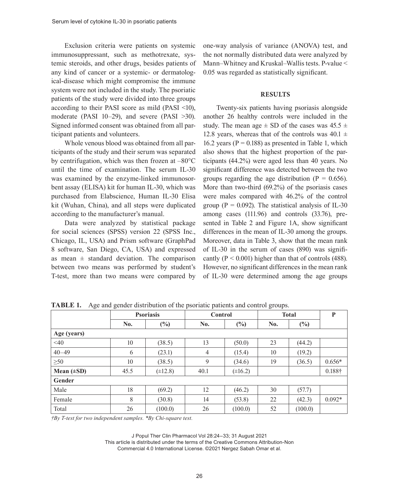Exclusion criteria were patients on systemic immunosuppressant, such as methotrexate, systemic steroids, and other drugs, besides patients of any kind of cancer or a systemic- or dermatological-disease which might compromise the immune system were not included in the study. The psoriatic patients of the study were divided into three groups according to their PASI score as mild (PASI <10), moderate (PASI 10–29), and severe (PASI >30). Signed informed consent was obtained from all participant patients and volunteers.

Whole venous blood was obtained from all participants of the study and their serum was separated by centrifugation, which was then frozen at –80°C until the time of examination. The serum IL-30 was examined by the enzyme-linked immunosorbent assay (ELISA) kit for human IL-30, which was purchased from Elabscience, Human IL-30 Elisa kit (Wuhan, China), and all steps were duplicated according to the manufacturer's manual.

Data were analyzed by statistical package for social sciences (SPSS) version 22 (SPSS Inc., Chicago, IL, USA) and Prism software (GraphPad 8 software, San Diego, CA, USA) and expressed as mean  $\pm$  standard deviation. The comparison between two means was performed by student's T-test, more than two means were compared by

one-way analysis of variance (ANOVA) test, and the not normally distributed data were analyzed by Mann–Whitney and Kruskal–Wallis tests. P-value < 0.05 was regarded as statistically significant.

#### **RESULTS**

Twenty-six patients having psoriasis alongside another 26 healthy controls were included in the study. The mean age  $\pm$  SD of the cases was 45.5  $\pm$ 12.8 years, whereas that of the controls was  $40.1 \pm$ 16.2 years ( $P = 0.188$ ) as presented in Table 1, which also shows that the highest proportion of the participants (44.2%) were aged less than 40 years. No significant difference was detected between the two groups regarding the age distribution ( $P = 0.656$ ). More than two-third (69.2%) of the psoriasis cases were males compared with 46.2% of the control group ( $P = 0.092$ ). The statistical analysis of IL-30 among cases (111.96) and controls (33.76), presented in Table 2 and Figure 1A, show significant differences in the mean of IL-30 among the groups. Moreover, data in Table 3, show that the mean rank of IL-30 in the serum of cases (890) was significantly ( $P < 0.001$ ) higher than that of controls (488). However, no significant differences in the mean rank of IL-30 were determined among the age groups

|                 | <b>Psoriasis</b> |              | <b>Control</b> |              | <b>Total</b> |         | $\mathbf{P}$ |
|-----------------|------------------|--------------|----------------|--------------|--------------|---------|--------------|
|                 | No.              | $(\%)$       | No.            | (%)          | No.          | $(\%)$  |              |
| Age (years)     |                  |              |                |              |              |         |              |
| $<$ 40          | 10               | (38.5)       | 13             | (50.0)       | 23           | (44.2)  |              |
| $40 - 49$       | 6                | (23.1)       | 4              | (15.4)       | 10           | (19.2)  |              |
| $\geq 50$       | 10               | (38.5)       | 9              | (34.6)       | 19           | (36.5)  | $0.656*$     |
| Mean $(\pm SD)$ | 45.5             | $(\pm 12.8)$ | 40.1           | $(\pm 16.2)$ |              |         | 0.188†       |
| <b>Gender</b>   |                  |              |                |              |              |         |              |
| Male            | 18               | (69.2)       | 12             | (46.2)       | 30           | (57.7)  |              |
| Female          | 8                | (30.8)       | 14             | (53.8)       | 22           | (42.3)  | $0.092*$     |
| Total           | 26               | (100.0)      | 26             | (100.0)      | 52           | (100.0) |              |

**TABLE 1.** Age and gender distribution of the psoriatic patients and control groups.

*†By T-test for two independent samples. \*By Chi-square test.*

J Popul Ther Clin Pharmacol Vol 28:24–33; 31 August 2021

This article is distributed under the terms of the Creative Commons Attribution-Non Commercial 4.0 International License. ©2021 Nergez Sabah Omar et al.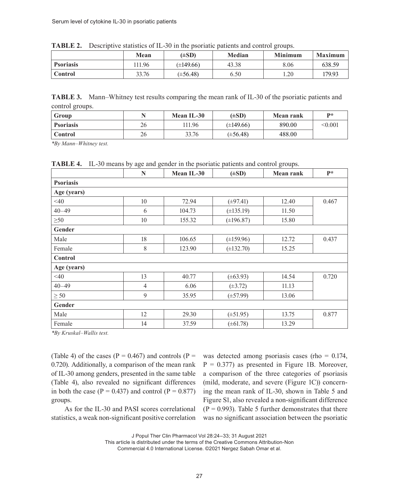| .<br>.           |       |                |        |                |                |  |
|------------------|-------|----------------|--------|----------------|----------------|--|
|                  | Mean  | $(\pm SD)$     | Median | <b>Minimum</b> | <b>Maximum</b> |  |
| <b>Psoriasis</b> | 11.96 | $(\pm 149.66)$ | 43.38  | 8.06           | 638.59         |  |
| Control          | 33.76 | $(\pm 56.48)$  | 6.50   | 1.20           | 179.93         |  |

**TABLE 2.** Descriptive statistics of IL-30 in the psoriatic patients and control groups.

**TABLE 3.** Mann–Whitney test results comparing the mean rank of IL-30 of the psoriatic patients and control groups.

| Group            |    | Mean IL-30 | $(\pm SD)$     | <b>Mean rank</b> | $\mathbf{p}$ * |
|------------------|----|------------|----------------|------------------|----------------|
| <b>Psoriasis</b> | 26 | 11.96      | $(\pm 149.66)$ | 890.00           | < 0.001        |
| <b>Control</b>   | 26 | 33.76      | $(\pm 56.48)$  | 488.00           |                |

*\*By Mann–Whitney test.*

**TABLE 4.** IL-30 means by age and gender in the psoriatic patients and control groups.

|                  | N              | Mean IL-30 | $(\pm SD)$     | <b>Mean rank</b> | $P^*$ |
|------------------|----------------|------------|----------------|------------------|-------|
| <b>Psoriasis</b> |                |            |                |                  |       |
| Age (years)      |                |            |                |                  |       |
| $<$ 40           | 10             | 72.94      | $(\pm 97.41)$  | 12.40            | 0.467 |
| $40 - 49$        | 6              | 104.73     | $(\pm 135.19)$ | 11.50            |       |
| $\geq 50$        | 10             | 155.32     | $(\pm 196.87)$ | 15.80            |       |
| Gender           |                |            |                |                  |       |
| Male             | 18             | 106.65     | $(\pm 159.96)$ | 12.72            | 0.437 |
| Female           | 8              | 123.90     | $(\pm 132.70)$ | 15.25            |       |
| Control          |                |            |                |                  |       |
| Age (years)      |                |            |                |                  |       |
| $<$ 40           | 13             | 40.77      | $(\pm 63.93)$  | 14.54            | 0.720 |
| $40 - 49$        | $\overline{4}$ | 6.06       | $(\pm 3.72)$   | 11.13            |       |
| $\geq 50$        | 9              | 35.95      | $(\pm 57.99)$  | 13.06            |       |
| Gender           |                |            |                |                  |       |
| Male             | 12             | 29.30      | $(\pm 51.95)$  | 13.75            | 0.877 |
| Female           | 14             | 37.59      | $(\pm 61.78)$  | 13.29            |       |

*\*By Kruskal–Wallis test.*

(Table 4) of the cases ( $P = 0.467$ ) and controls ( $P =$ 0.720). Additionally, a comparison of the mean rank of IL-30 among genders, presented in the same table (Table 4), also revealed no significant differences in both the case ( $P = 0.437$ ) and control ( $P = 0.877$ ) groups.

As for the IL-30 and PASI scores correlational statistics, a weak non-significant positive correlation was detected among psoriasis cases (rho  $= 0.174$ ,  $P = 0.377$ ) as presented in Figure 1B. Moreover, a comparison of the three categories of psoriasis (mild, moderate, and severe (Figure 1C)) concerning the mean rank of IL-30, shown in Table 5 and Figure S1, also revealed a non-significant difference  $(P = 0.993)$ . Table 5 further demonstrates that there was no significant association between the psoriatic

J Popul Ther Clin Pharmacol Vol 28:24–33; 31 August 2021

This article is distributed under the terms of the Creative Commons Attribution-Non

Commercial 4.0 International License. ©2021 Nergez Sabah Omar et al.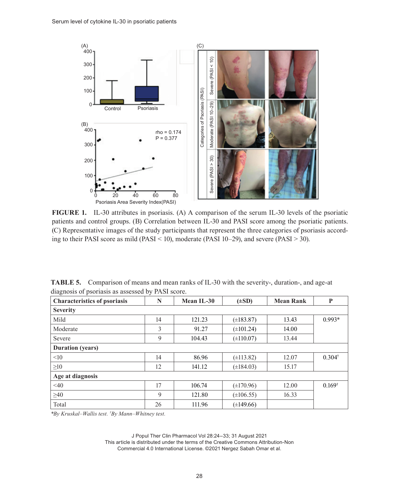

**FIGURE 1.** IL-30 attributes in psoriasis. (A) A comparison of the serum IL-30 levels of the psoriatic patients and control groups. (B) Correlation between IL-30 and PASI score among the psoriatic patients. (C) Representative images of the study participants that represent the three categories of psoriasis according to their PASI score as mild (PASI < 10), moderate (PASI 10–29), and severe (PASI > 30).

**TABLE 5.** Comparison of means and mean ranks of IL-30 with the severity-, duration-, and age-at diagnosis of psoriasis as assessed by PASI score.

| <b>Characteristics of psoriasis</b> | N  | Mean IL-30 | $(\pm SD)$     | <b>Mean Rank</b> | ${\bf P}$         |
|-------------------------------------|----|------------|----------------|------------------|-------------------|
| <b>Severity</b>                     |    |            |                |                  |                   |
| Mild                                | 14 | 121.23     | $(\pm 183.87)$ | 13.43            | $0.993*$          |
| Moderate                            | 3  | 91.27      | $(\pm 101.24)$ | 14.00            |                   |
| Severe                              | 9  | 104.43     | $(\pm 110.07)$ | 13.44            |                   |
| <b>Duration</b> (years)             |    |            |                |                  |                   |
| <10                                 | 14 | 86.96      | $(\pm 113.82)$ | 12.07            | $0.304^{\dagger}$ |
| $\geq 10$                           | 12 | 141.12     | $(\pm 184.03)$ | 15.17            |                   |
| Age at diagnosis                    |    |            |                |                  |                   |
| $<$ 40                              | 17 | 106.74     | $(\pm 170.96)$ | 12.00            | $0.169^{\dagger}$ |
| $\geq 40$                           | 9  | 121.80     | $(\pm 106.55)$ | 16.33            |                   |
| Total                               | 26 | 111.96     | $(\pm 149.66)$ |                  |                   |

*\*By Kruskal–Wallis test. † By Mann–Whitney test.*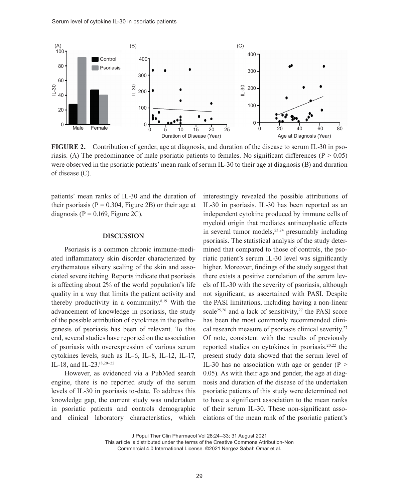

**FIGURE 2.** Contribution of gender, age at diagnosis, and duration of the disease to serum IL-30 in psoriasis. (A) The predominance of male psoriatic patients to females. No significant differences ( $P > 0.05$ ) were observed in the psoriatic patients' mean rank of serum IL-30 to their age at diagnosis (B) and duration of disease (C).

patients' mean ranks of IL-30 and the duration of their psoriasis ( $P = 0.304$ , Figure 2B) or their age at diagnosis ( $P = 0.169$ , Figure 2C).

#### **DISCUSSION**

Psoriasis is a common chronic immune-mediated inflammatory skin disorder characterized by erythematous silvery scaling of the skin and associated severe itching. Reports indicate that psoriasis is affecting about 2% of the world population's life quality in a way that limits the patient activity and thereby productivity in a community.8,19 With the advancement of knowledge in psoriasis, the study of the possible attribution of cytokines in the pathogenesis of psoriasis has been of relevant. To this end, several studies have reported on the association of psoriasis with overexpression of various serum cytokines levels, such as IL-6, IL-8, IL-12, IL-17, IL-18, and IL-23.18,20–22

However, as evidenced via a PubMed search engine, there is no reported study of the serum levels of IL-30 in psoriasis to-date. To address this knowledge gap, the current study was undertaken in psoriatic patients and controls demographic and clinical laboratory characteristics, which

interestingly revealed the possible attributions of IL-30 in psoriasis. IL-30 has been reported as an independent cytokine produced by immune cells of myeloid origin that mediates antineoplastic effects in several tumor models, $23,24$  presumably including psoriasis. The statistical analysis of the study determined that compared to those of controls, the psoriatic patient's serum IL-30 level was significantly higher. Moreover, findings of the study suggest that there exists a positive correlation of the serum levels of IL-30 with the severity of psoriasis, although not significant, as ascertained with PASI. Despite the PASI limitations, including having a non-linear scale<sup>25,26</sup> and a lack of sensitivity,<sup>27</sup> the PASI score has been the most commonly recommended clinical research measure of psoriasis clinical severity.27 Of note, consistent with the results of previously reported studies on cytokines in psoriasis.20,22 the present study data showed that the serum level of IL-30 has no association with age or gender ( $P >$ 0.05). As with their age and gender, the age at diagnosis and duration of the disease of the undertaken psoriatic patients of this study were determined not to have a significant association to the mean ranks of their serum IL-30. These non-significant associations of the mean rank of the psoriatic patient's

J Popul Ther Clin Pharmacol Vol 28:24–33; 31 August 2021

This article is distributed under the terms of the Creative Commons Attribution-Non

Commercial 4.0 International License. ©2021 Nergez Sabah Omar et al.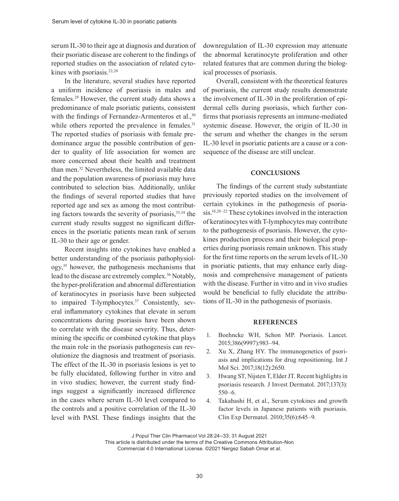serum IL-30 to their age at diagnosis and duration of their psoriatic disease are coherent to the findings of reported studies on the association of related cytokines with psoriasis.<sup>22,28</sup>

In the literature, several studies have reported a uniform incidence of psoriasis in males and females.29 However, the current study data shows a predominance of male psoriatic patients, consistent with the findings of Fernandez-Armenteros et al.,<sup>30</sup> while others reported the prevalence in females.<sup>31</sup> The reported studies of psoriasis with female predominance argue the possible contribution of gender to quality of life association for women are more concerned about their health and treatment than men.32 Nevertheless, the limited available data and the population awareness of psoriasis may have contributed to selection bias. Additionally, unlike the findings of several reported studies that have reported age and sex as among the most contributing factors towards the severity of psoriasis,  $33,34$  the current study results suggest no significant differences in the psoriatic patients mean rank of serum IL-30 to their age or gender.

Recent insights into cytokines have enabled a better understanding of the psoriasis pathophysiology,35 however, the pathogenesis mechanisms that lead to the disease are extremely complex.<sup>36</sup> Notably, the hyper-proliferation and abnormal differentiation of keratinocytes in psoriasis have been subjected to impaired T-lymphocytes.<sup>37</sup> Consistently, several inflammatory cytokines that elevate in serum concentrations during psoriasis have been shown to correlate with the disease severity. Thus, determining the specific or combined cytokine that plays the main role in the psoriasis pathogenesis can revolutionize the diagnosis and treatment of psoriasis. The effect of the IL-30 in psoriasis lesions is yet to be fully elucidated, following further in vitro and in vivo studies; however, the current study findings suggest a significantly increased difference in the cases where serum IL-30 level compared to the controls and a positive correlation of the IL-30 level with PASI. These findings insights that the downregulation of IL-30 expression may attenuate the abnormal keratinocyte proliferation and other related features that are common during the biological processes of psoriasis.

Overall, consistent with the theoretical features of psoriasis, the current study results demonstrate the involvement of IL-30 in the proliferation of epidermal cells during psoriasis, which further confirms that psoriasis represents an immune-mediated systemic disease. However, the origin of IL-30 in the serum and whether the changes in the serum IL-30 level in psoriatic patients are a cause or a consequence of the disease are still unclear.

#### **CONCLUSIONS**

The findings of the current study substantiate previously reported studies on the involvement of certain cytokines in the pathogenesis of psoriasis.18,20–22 These cytokines involved in the interaction of keratinocytes with T-lymphocytes may contribute to the pathogenesis of psoriasis. However, the cytokines production process and their biological properties during psoriasis remain unknown. This study for the first time reports on the serum levels of IL-30 in psoriatic patients, that may enhance early diagnosis and comprehensive management of patients with the disease. Further in vitro and in vivo studies would be beneficial to fully elucidate the attributions of IL-30 in the pathogenesis of psoriasis.

#### **REFERENCES**

- 1. Boehncke WH, Schon MP. Psoriasis. Lancet. 2015;386(9997):983–94.
- 2. Xu X, Zhang HY. The immunogenetics of psoriasis and implications for drug repositioning. Int J Mol Sci. 2017;18(12):2650.
- 3. Hwang ST, Nijsten T, Elder JT. Recent highlights in psoriasis research. J Invest Dermatol. 2017;137(3): 550–6.
- 4. Takahashi H, et al., Serum cytokines and growth factor levels in Japanese patients with psoriasis. Clin Exp Dermatol. 2010;35(6):645–9.

J Popul Ther Clin Pharmacol Vol 28:24–33; 31 August 2021

This article is distributed under the terms of the Creative Commons Attribution-Non Commercial 4.0 International License. ©2021 Nergez Sabah Omar et al.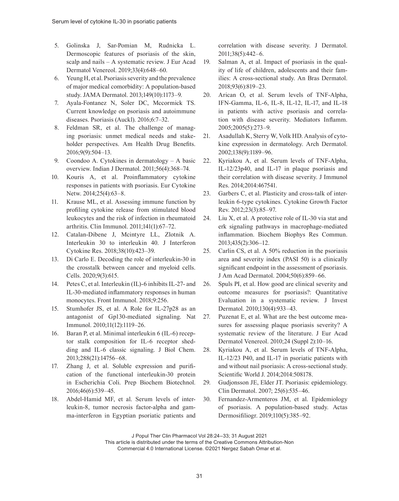- 5. Golinska J, Sar-Pomian M, Rudnicka L. Dermoscopic features of psoriasis of the skin, scalp and nails – A systematic review. J Eur Acad Dermatol Venereol. 2019;33(4):648–60.
- 6. Yeung H, et al. Psoriasis severity and the prevalence of major medical comorbidity: A population-based study. JAMA Dermatol. 2013;149(10):1173–9.
- 7. Ayala-Fontanez N, Soler DC, Mccormick TS. Current knowledge on psoriasis and autoimmune diseases. Psoriasis (Auckl). 2016;6:7–32.
- 8. Feldman SR, et al. The challenge of managing psoriasis: unmet medical needs and stakeholder perspectives. Am Health Drug Benefits. 2016;9(9):504–13.
- 9. Coondoo A. Cytokines in dermatology A basic overview. Indian J Dermatol. 2011;56(4):368–74.
- 10. Kouris A, et al. Proinflammatory cytokine responses in patients with psoriasis. Eur Cytokine Netw. 2014;25(4):63–8.
- 11. Krause ML, et al. Assessing immune function by profiling cytokine release from stimulated blood leukocytes and the risk of infection in rheumatoid arthritis. Clin Immunol. 2011;141(1):67–72.
- 12. Catalan-Dibene J, Mcintyre LL, Zlotnik A. Interleukin 30 to interleukin 40. J Interferon Cytokine Res. 2018;38(10):423–39.
- 13. Di Carlo E. Decoding the role of interleukin-30 in the crosstalk between cancer and myeloid cells. Cells. 2020;9(3):615.
- 14. Petes C, et al. Interleukin (IL)-6 inhibits IL-27- and IL-30-mediated inflammatory responses in human monocytes. Front Immunol. 2018;9:256.
- 15. Stumhofer JS, et al. A Role for IL-27p28 as an antagonist of Gp130-mediated signaling. Nat Immunol. 2010;11(12):1119–26.
- 16. Baran P, et al. Minimal interleukin 6 (IL-6) receptor stalk composition for IL-6 receptor shedding and IL-6 classic signaling. J Biol Chem. 2013;288(21):14756–68.
- 17. Zhang J, et al. Soluble expression and purification of the functional interleukin-30 protein in Escherichia Coli. Prep Biochem Biotechnol. 2016;46(6):539–45.
- 18. Abdel-Hamid MF, et al. Serum levels of interleukin-8, tumor necrosis factor-alpha and gamma-interferon in Egyptian psoriatic patients and

correlation with disease severity. J Dermatol. 2011;38(5):442–6.

- 19. Salman A, et al. Impact of psoriasis in the quality of life of children, adolescents and their families: A cross-sectional study. An Bras Dermatol. 2018;93(6):819–23.
- 20. Arican O, et al. Serum levels of TNF-Alpha, IFN-Gamma, IL-6, IL-8, IL-12, IL-17, and IL-18 in patients with active psoriasis and correlation with disease severity. Mediators Inflamm. 2005;2005(5):273–9.
- 21. Asadullah K, Sterry W, Volk HD. Analysis of cytokine expression in dermatology. Arch Dermatol. 2002;138(9):1189–96.
- 22. Kyriakou A, et al. Serum levels of TNF-Alpha, IL-12/23p40, and IL-17 in plaque psoriasis and their correlation with disease severity. J Immunol Res. 2014;2014:467541.
- 23. Garbers C, et al. Plasticity and cross-talk of interleukin 6-type cytokines. Cytokine Growth Factor Rev. 2012;23(3):85–97.
- 24. Liu X, et al. A protective role of IL-30 via stat and erk signaling pathways in macrophage-mediated inflammation. Biochem Biophys Res Commun. 2013;435(2):306–12.
- 25. Carlin CS, et al. A 50% reduction in the psoriasis area and severity index (PASI 50) is a clinically significant endpoint in the assessment of psoriasis. J Am Acad Dermatol. 2004;50(6):859–66.
- 26. Spuls PI, et al. How good are clinical severity and outcome measures for psoriasis?: Quantitative Evaluation in a systematic review. J Invest Dermatol. 2010;130(4):933–43.
- 27. Puzenat E, et al. What are the best outcome measures for assessing plaque psoriasis severity? A systematic review of the literature. J Eur Acad Dermatol Venereol. 2010;24 (Suppl 2):10–16.
- 28. Kyriakou A, et al. Serum levels of TNF-Alpha, IL-12/23 P40, and IL-17 in psoriatic patients with and without nail psoriasis: A cross-sectional study. Scientific World J. 2014;2014:508178.
- 29. Gudjonsson JE, Elder JT. Psoriasis: epidemiology. Clin Dermatol. 2007; 25(6):535–46.
- 30. Fernandez-Armenteros JM, et al. Epidemiology of psoriasis. A population-based study. Actas Dermosifiliogr. 2019;110(5):385–92.

J Popul Ther Clin Pharmacol Vol 28:24–33; 31 August 2021

This article is distributed under the terms of the Creative Commons Attribution-Non Commercial 4.0 International License. ©2021 Nergez Sabah Omar et al.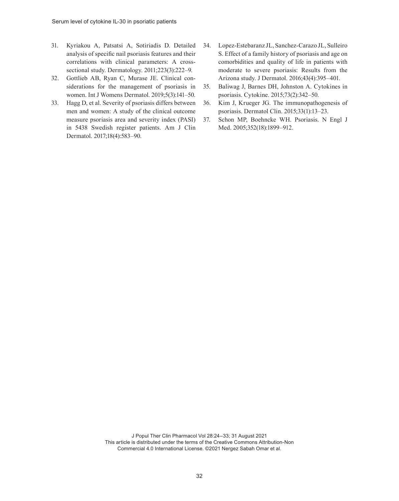- 31. Kyriakou A, Patsatsi A, Sotiriadis D. Detailed analysis of specific nail psoriasis features and their correlations with clinical parameters: A crosssectional study. Dermatology. 2011;223(3):222–9.
- 32. Gottlieb AB, Ryan C, Murase JE. Clinical considerations for the management of psoriasis in women. Int J Womens Dermatol. 2019;5(3):141–50.
- 33. Hagg D, et al. Severity of psoriasis differs between men and women: A study of the clinical outcome measure psoriasis area and severity index (PASI) in 5438 Swedish register patients. Am J Clin Dermatol. 2017;18(4):583–90.
- 34. Lopez-Estebaranz JL, Sanchez-Carazo JL, Sulleiro S. Effect of a family history of psoriasis and age on comorbidities and quality of life in patients with moderate to severe psoriasis: Results from the Arizona study. J Dermatol. 2016;43(4):395–401.
- 35. Baliwag J, Barnes DH, Johnston A. Cytokines in psoriasis. Cytokine. 2015;73(2):342–50.
- 36. Kim J, Krueger JG. The immunopathogenesis of psoriasis. Dermatol Clin. 2015;33(1):13–23.
- 37. Schon MP, Boehncke WH. Psoriasis. N Engl J Med. 2005;352(18):1899–912.